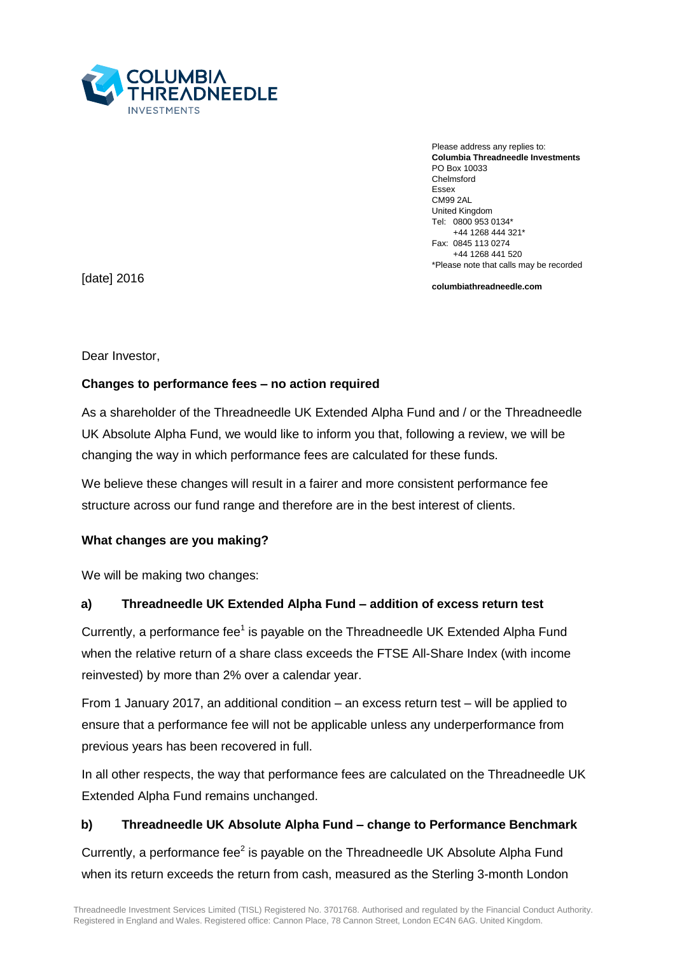

Please address any replies to: **Columbia Threadneedle Investments** PO Box 10033 Chelmsford Essex CM99 2AL United Kingdom Tel: 0800 953 0134\* +44 1268 444 321\* Fax: 0845 113 0274 +44 1268 441 520 \*Please note that calls may be recorded

**columbiathreadneedle.com**

[date] 2016

Dear Investor,

# **Changes to performance fees – no action required**

As a shareholder of the Threadneedle UK Extended Alpha Fund and / or the Threadneedle UK Absolute Alpha Fund, we would like to inform you that, following a review, we will be changing the way in which performance fees are calculated for these funds.

We believe these changes will result in a fairer and more consistent performance fee structure across our fund range and therefore are in the best interest of clients.

# **What changes are you making?**

We will be making two changes:

# **a) Threadneedle UK Extended Alpha Fund – addition of excess return test**

Currently, a performance fee<sup>1</sup> is payable on the Threadneedle UK Extended Alpha Fund when the relative return of a share class exceeds the FTSE All-Share Index (with income reinvested) by more than 2% over a calendar year.

From 1 January 2017, an additional condition – an excess return test – will be applied to ensure that a performance fee will not be applicable unless any underperformance from previous years has been recovered in full.

In all other respects, the way that performance fees are calculated on the Threadneedle UK Extended Alpha Fund remains unchanged.

# **b) Threadneedle UK Absolute Alpha Fund – change to Performance Benchmark**

Currently, a performance fee $2$  is payable on the Threadneedle UK Absolute Alpha Fund when its return exceeds the return from cash, measured as the Sterling 3-month London